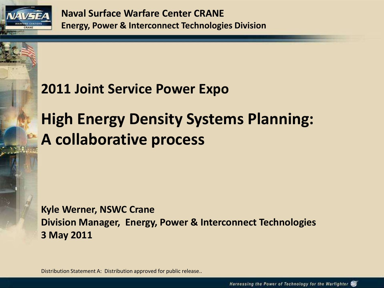

# **High Energy Density Systems Planning: A collaborative process**

**Kyle Werner, NSWC Crane Division Manager, Energy, Power & Interconnect Technologies 3 May 2011**

Distribution Statement A: Distribution approved for public release..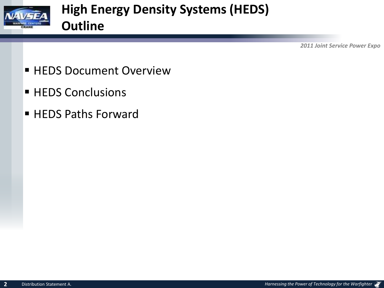

- **HEDS Document Overview**
- **HEDS Conclusions**
- HEDS Paths Forward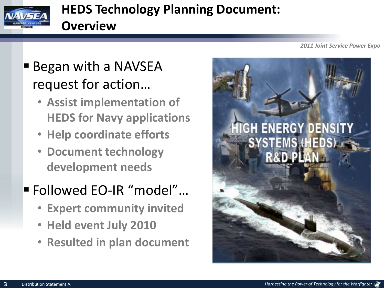

## **HEDS Technology Planning Document: Overview**

■ Began with a NAVSEA request for action…

- **Assist implementation of HEDS for Navy applications**
- **Help coordinate efforts**
- **Document technology development needs**

# Followed EO-IR "model"…

- **Expert community invited**
- **Held event July 2010**
- **Resulted in plan document**

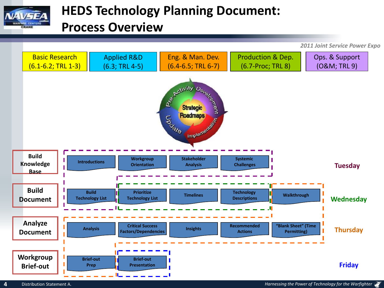

## **HEDS Technology Planning Document: Process Overview**

Basic Research Applied R&D Eng. & Man. Dev. Production & Dep. Ops. & Support (O&M; TRL 9) (6.1-6.2; TRL 1-3) (6.3; TRL 4-5) (6.4-6.5; TRL 6-7) (6.7-Proc; TRL 8) E Strategic Strategic **Build Introductions Workgroup Stakeholder Systemic**  ı **Knowledge Tuesday Orientation Analysis Challenges Base Build Build Prioritize Technology Tribitize Timelines Theory Construction Construction Construction Construction <b>Tribition Walkthrough Timelines Timelines The Lettings** ı **Technology List Wednesday Document Analyze Critical Success "Blank Sheet" (Time Recommended**  I **Factors/Dependencies Analysis Insights Thursday Permitting) Document Actions Workgroup Brief-out Brief-out Friday Brief-outPrep Presentation**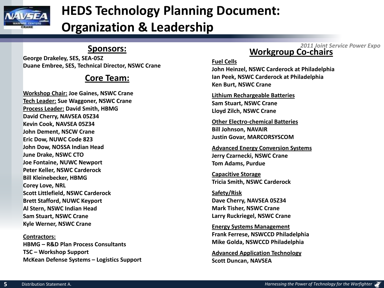

# **HEDS Technology Planning Document:**

**Organization & Leadership**

#### **Sponsors:**

**George Drakeley, SES, SEA-05Z Duane Embree, SES, Technical Director, NSWC Crane**

#### **Core Team:**

**Workshop Chair: Joe Gaines, NSWC Crane Tech Leader: Sue Waggoner, NSWC Crane Process Leader: David Smith, HBMG David Cherry, NAVSEA 05Z34 Kevin Cook, NAVSEA 05Z34 John Dement, NSCW Crane Eric Dow, NUWC Code 823 John Dow, NOSSA Indian Head June Drake, NSWC CTO Joe Fontaine, NUWC Newport Peter Keller, NSWC Carderock Bill Kleinebecker, HBMG Corey Love, NRL Scott Littlefield, NSWC Carderock Brett Stafford, NUWC Keyport Al Stern, NSWC Indian Head Sam Stuart, NSWC Crane Kyle Werner, NSWC Crane**

**Contractors: HBMG – R&D Plan Process Consultants TSC – Workshop Support McKean Defense Systems – Logistics Support**

#### *2011 Joint Service Power Expo* **Workgroup Co-chairs**

#### **Fuel Cells**

**John Heinzel, NSWC Carderock at Philadelphia Ian Peek, NSWC Carderock at Philadelphia Ken Burt, NSWC Crane**

**Lithium Rechargeable Batteries Sam Stuart, NSWC Crane Lloyd Zilch, NSWC Crane**

**Other Electro-chemical Batteries Bill Johnson, NAVAIR Justin Govar, MARCORSYSCOM**

**Advanced Energy Conversion Systems Jerry Czarnecki, NSWC Crane Tom Adams, Purdue**

**Capacitive Storage Tricia Smith, NSWC Carderock**

**Safety/Risk Dave Cherry, NAVSEA 05Z34 Mark Tisher, NSWC Crane Larry Ruckriegel, NSWC Crane**

**Energy Systems Management Frank Ferrese, NSWCCD Philadelphia Mike Golda, NSWCCD Philadelphia**

**Advanced Application Technology Scott Duncan, NAVSEA**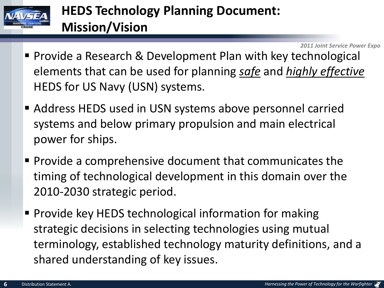

# **HEDS Technology Planning Document: Mission/Vision**

- Provide a Research & Development Plan with key technological elements that can be used for planning *safe* and *highly effective* HEDS for US Navy (USN) systems.
- Address HEDS used in USN systems above personnel carried systems and below primary propulsion and main electrical power for ships.
- **Provide a comprehensive document that communicates the** timing of technological development in this domain over the 2010-2030 strategic period.
- **Provide key HEDS technological information for making** strategic decisions in selecting technologies using mutual terminology, established technology maturity definitions, and a shared understanding of key issues.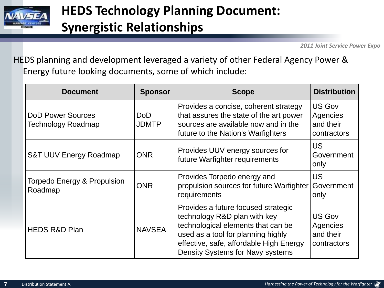

HEDS planning and development leveraged a variety of other Federal Agency Power & Energy future looking documents, some of which include:

| <b>Document</b>                                | <b>Sponsor</b>      | <b>Scope</b>                                                                                                                                                                                                                          | <b>Distribution</b>                                   |  |  |
|------------------------------------------------|---------------------|---------------------------------------------------------------------------------------------------------------------------------------------------------------------------------------------------------------------------------------|-------------------------------------------------------|--|--|
| <b>DoD Power Sources</b><br>Technology Roadmap | DoD<br><b>JDMTP</b> | Provides a concise, coherent strategy<br>that assures the state of the art power<br>sources are available now and in the<br>future to the Nation's Warfighters                                                                        | US Gov<br>Agencies<br>and their<br>contractors        |  |  |
| <b>S&amp;T UUV Energy Roadmap</b>              | <b>ONR</b>          | Provides UUV energy sources for<br>future Warfighter requirements                                                                                                                                                                     | <b>US</b><br>Government<br>only                       |  |  |
| Torpedo Energy & Propulsion<br>Roadmap         | <b>ONR</b>          | Provides Torpedo energy and<br>propulsion sources for future Warfighter<br>requirements                                                                                                                                               | <b>US</b><br>Government<br>only                       |  |  |
| <b>HEDS R&amp;D Plan</b>                       | <b>NAVSEA</b>       | Provides a future focused strategic<br>technology R&D plan with key<br>technological elements that can be<br>used as a tool for planning highly<br>effective, safe, affordable High Energy<br><b>Density Systems for Navy systems</b> | <b>US Gov</b><br>Agencies<br>and their<br>contractors |  |  |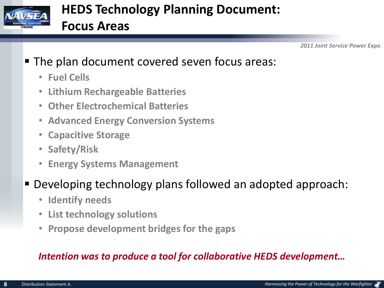

### **The plan document covered seven focus areas:**

- **Fuel Cells**
- **Lithium Rechargeable Batteries**
- **Other Electrochemical Batteries**
- **Advanced Energy Conversion Systems**
- **Capacitive Storage**
- **Safety/Risk**
- **Energy Systems Management**

### Developing technology plans followed an adopted approach:

- **Identify needs**
- **List technology solutions**
- **Propose development bridges for the gaps**

### *Intention was to produce a tool for collaborative HEDS development…*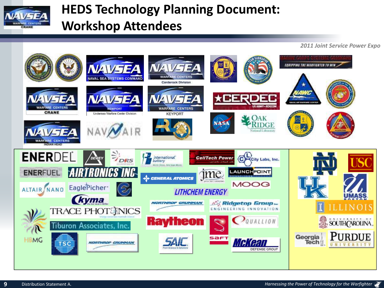

## **HEDS Technology Planning Document: Workshop Attendees**

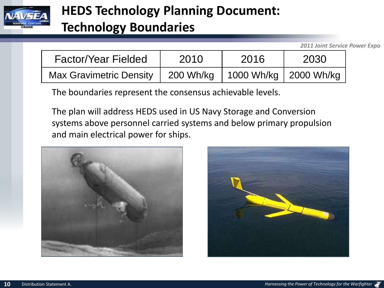

### **HEDS Technology Planning Document:**

### **Technology Boundaries**

*2011 Joint Service Power Expo*

| <b>Factor/Year Fielded</b>     | 2010      | 2016                    | 2030 |
|--------------------------------|-----------|-------------------------|------|
| <b>Max Gravimetric Density</b> | 200 Wh/ka | 1000 Wh/kg   2000 Wh/kg |      |

The boundaries represent the consensus achievable levels.

The plan will address HEDS used in US Navy Storage and Conversion systems above personnel carried systems and below primary propulsion and main electrical power for ships.



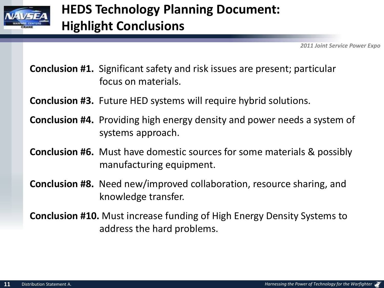

**Conclusion #1.** Significant safety and risk issues are present; particular focus on materials.

**Conclusion #3.** Future HED systems will require hybrid solutions.

- **Conclusion #4.** Providing high energy density and power needs a system of systems approach.
- **Conclusion #6.** Must have domestic sources for some materials & possibly manufacturing equipment.
- **Conclusion #8.** Need new/improved collaboration, resource sharing, and knowledge transfer.
- **Conclusion #10.** Must increase funding of High Energy Density Systems to address the hard problems.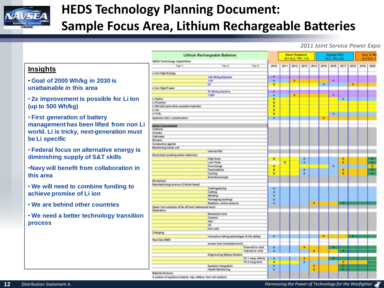

# **HEDS Technology Planning Document: Sample Focus Area, Lithium Rechargeable Batteries**

#### *2011 Joint Service Power Expo*

#### **Insights**

- **Goal of 2000 Wh/kg in 2030 is unattainable in this area**
- **2x improvement is possible for Li Ion (up to 500 Wh/kg)**
- **First generation of battery management has been lifted from non Li world. Li is tricky, next-generation must be Li specific**
- **Federal focus on alternative energy is diminishing supply of S&T skills**
- •**Navy will benefit from collaboration in this area**
- **We will need to combine funding to achieve promise of Li ion**
- **We are behind other countries**
- **We need a better technology transition process**

| <b>Lithium Rechargeable Batteries</b>              |                                            |      | Basic Rosearch<br>(6.1-6.2) TRL 1-31 |      |      |      | Applied R&D<br>(6.5) TRL 4-5) |                |      |      | Eng. & Ma<br>(64-6.5) |      |  |
|----------------------------------------------------|--------------------------------------------|------|--------------------------------------|------|------|------|-------------------------------|----------------|------|------|-----------------------|------|--|
| <b>HEDS Technology Capabilities</b>                |                                            |      |                                      |      |      |      |                               |                |      |      |                       |      |  |
| Tier 1                                             | Tier <sub>2</sub><br>Tier 3                | 2010 | 3011                                 | 1012 | 2013 | 3014 | 2015                          | 2015           | 2017 | 2018 | 2019                  | 2020 |  |
| Li lan High Energy                                 |                                            |      |                                      |      |      |      |                               |                |      |      |                       |      |  |
|                                                    | 146 Whileg Baseline                        |      |                                      |      |      |      |                               |                |      |      |                       |      |  |
|                                                    | 1.6%                                       | Ä    |                                      | п    |      |      |                               |                |      |      |                       |      |  |
|                                                    | m                                          | ë    |                                      |      |      |      | $\overline{\mathbf{a}}$       |                |      | E    |                       |      |  |
| Lifen High Power                                   |                                            |      |                                      |      |      |      |                               |                |      |      |                       |      |  |
|                                                    | 76 Whileg baseline                         | r    |                                      |      |      |      |                               |                |      |      |                       |      |  |
|                                                    | 1.26K                                      | Ä    |                                      |      |      |      |                               | н              |      |      |                       |      |  |
| Li Sulfur                                          |                                            | ×    |                                      |      |      |      |                               |                | Δ    |      |                       |      |  |
| Li Fluorine                                        |                                            | E    |                                      |      |      |      |                               |                |      |      |                       |      |  |
| Li MH (Ni) (and other possible hybrids)            |                                            | E    |                                      |      |      |      |                               |                |      |      |                       |      |  |
| Li Air                                             |                                            | n    |                                      |      |      |      |                               |                |      |      |                       |      |  |
| LiFeS,                                             |                                            | n    |                                      |      |      |      |                               | $\overline{A}$ |      |      |                       |      |  |
| Systems inter / construction                       |                                            | ×    |                                      |      |      |      | Ξ                             |                |      |      |                       |      |  |
|                                                    |                                            |      |                                      |      |      |      |                               |                |      |      |                       |      |  |
| Altied Technologies                                |                                            |      |                                      |      |      |      |                               |                |      |      |                       |      |  |
| Carbons                                            |                                            |      |                                      |      |      |      |                               |                |      |      |                       |      |  |
| Anodes                                             |                                            |      |                                      |      |      |      |                               |                |      |      |                       |      |  |
| Cathodes                                           |                                            |      |                                      |      |      |      |                               |                |      |      |                       |      |  |
| Binders                                            |                                            |      |                                      |      |      |      |                               |                |      |      |                       |      |  |
| Conductive agents                                  |                                            |      |                                      |      |      |      |                               |                |      |      |                       |      |  |
| Manitoring inside cell                             |                                            |      |                                      |      |      |      |                               |                |      |      |                       |      |  |
|                                                    | Internal Raf                               |      |                                      |      |      |      |                               |                |      |      |                       |      |  |
| Electrolyte (making better batteries)              |                                            |      |                                      |      |      |      |                               |                |      |      |                       |      |  |
|                                                    | High temp                                  | 푬    |                                      |      | ٨    |      |                               |                | Ε    |      |                       |      |  |
|                                                    | Low Temp                                   |      | ä                                    |      | ×    |      |                               |                | Ë    |      |                       | f    |  |
|                                                    | Overcharge                                 | B    |                                      |      |      |      |                               | A              |      |      |                       |      |  |
|                                                    | Flammability                               | n    |                                      |      | A    |      | ٠                             |                | r    |      |                       | г    |  |
|                                                    | Cycling                                    | ü    |                                      |      | w    |      |                               |                | e    |      |                       |      |  |
|                                                    | <b>Belid Electrolyte</b>                   |      |                                      |      |      |      |                               |                |      |      |                       |      |  |
| <b>Bindertess</b>                                  |                                            |      |                                      |      |      |      |                               |                |      |      |                       |      |  |
| <b>Manufacturing science (Critical Need)</b>       |                                            |      |                                      |      |      |      |                               |                |      |      |                       |      |  |
|                                                    | Coating/drying                             | д    |                                      |      |      |      |                               |                |      |      |                       |      |  |
|                                                    | Cutting                                    | Ä    |                                      |      |      |      |                               |                |      |      |                       |      |  |
|                                                    | Welding                                    | Ä    |                                      |      |      |      |                               |                |      |      |                       |      |  |
|                                                    | Packaging (sealing)                        | Ä    |                                      |      |      |      |                               |                |      |      |                       |      |  |
|                                                    | Realtime, unline sensors                   | Ä    |                                      |      |      |      |                               |                |      |      |                       |      |  |
| Super tran exemple of far off tech tadvanced techt |                                            |      |                                      |      |      |      |                               |                |      |      |                       |      |  |
| <b>Separation</b>                                  |                                            |      |                                      |      |      |      |                               |                |      |      |                       |      |  |
|                                                    | Membrane tech                              |      |                                      |      |      |      |                               |                |      |      |                       |      |  |
|                                                    | Ceramic                                    |      |                                      |      |      |      |                               |                |      |      |                       |      |  |
|                                                    | HOO                                        |      |                                      |      |      |      |                               |                |      |      |                       |      |  |
|                                                    | ÖΦ                                         |      |                                      |      |      |      |                               |                |      |      |                       |      |  |
|                                                    | <b>Tuel cells</b>                          |      |                                      |      |      |      |                               |                |      |      |                       |      |  |
| Charging                                           |                                            |      |                                      |      |      |      |                               |                |      |      |                       |      |  |
|                                                    | Innovative taking advantages of the deltas | л    |                                      |      |      |      | Ε                             |                |      |      |                       |      |  |
| <b>Next Gen BMS</b>                                |                                            |      |                                      |      |      |      |                               |                |      |      |                       |      |  |
|                                                    | sensor tech (inbedded tech)                |      |                                      |      |      |      |                               |                |      |      |                       |      |  |
|                                                    | External to cells                          | A    |                                      |      | E    |      |                               |                |      |      |                       |      |  |
|                                                    | internal to cells                          | n    |                                      |      |      | Ë    |                               |                |      |      |                       |      |  |
|                                                    | <b>Engineering Battery Models</b>          |      |                                      |      |      |      |                               |                |      |      |                       |      |  |
|                                                    | Ph 1 serty efforts                         | ٨    |                                      |      |      |      |                               |                |      |      |                       |      |  |
|                                                    | Ph 2 lang term                             | Ħ    |                                      |      | ×    |      |                               |                | п    |      |                       |      |  |
|                                                    |                                            | ٨    |                                      |      |      | E    |                               |                | Ξ    |      |                       |      |  |
|                                                    | Systems Integration                        |      |                                      |      |      |      |                               |                |      |      |                       |      |  |
| <b>Material Science</b>                            | Health Monitoring                          | ٨    |                                      |      |      | Ë    |                               |                | п    |      |                       |      |  |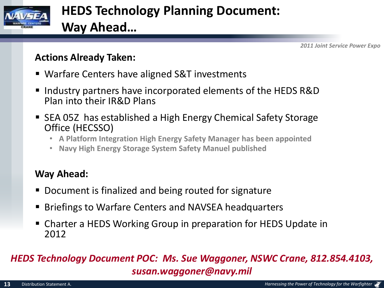

## **HEDS Technology Planning Document: Way Ahead…**

*2011 Joint Service Power Expo*

#### **Actions Already Taken:**

- Warfare Centers have aligned S&T investments
- Industry partners have incorporated elements of the HEDS R&D Plan into their IR&D Plans
- SEA 05Z has established a High Energy Chemical Safety Storage Office (HECSSO)
	- **A Platform Integration High Energy Safety Manager has been appointed**
	- **Navy High Energy Storage System Safety Manuel published**

### **Way Ahead:**

- Document is finalized and being routed for signature
- Briefings to Warfare Centers and NAVSEA headquarters
- Charter a HEDS Working Group in preparation for HEDS Update in 2012

#### *HEDS Technology Document POC: Ms. Sue Waggoner, NSWC Crane, 812.854.4103, susan.waggoner@navy.mil*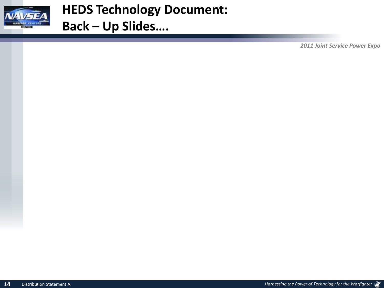

**HEDS Technology Document: Back – Up Slides….**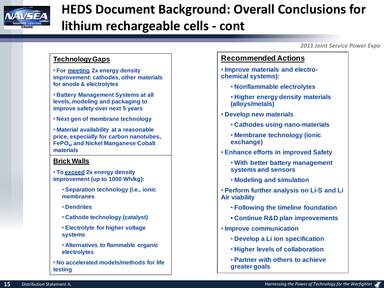

# **HEDS Document Background: Overall Conclusions for lithium rechargeable cells - cont**

*2011 Joint Service Power Expo*

#### **Technology Gaps**

• **For meeting 2x energy density improvement: cathodes, other materials for anode & electrolytes**

• **Battery Management Systems at all levels, modeling and packaging to improve safety over next 5 years**

• **Next gen of membrane technology**

• **Material availability at a reasonable price, especially for carbon nanotubes, FePO4, and Nickel Manganese Cobalt materials**

#### **Brick Walls**

• **To exceed 2x energy density improvement (up to 1000 Wh/kg):**

- **Separation technology (i.e., ionic membranes**
- **Dendrites**
- **Cathode technology (catalyst)**
- **Electrolyte for higher voltage systems**
- **Alternatives to flammable organic electrolytes**
- **No accelerated models/methods for life testing**

#### **Recommended Actions**

• **Improve materials and electrochemical systems):**

- **Nonflammable electrolytes**
- **Higher energy density materials (alloys/metals)**
- **Develop new materials**
	- **Cathodes using nano-materials**
	- **Membrane technology (ionic exchange)**
- **Enhance efforts in improved Safety**
	- **With better battery management systems and sensors**
	- **Modeling and simulation**

• **Perform further analysis on Li-S and Li Air viability**

- **Following the timeline foundation**
- **Continue R&D plan improvements**
- **Improve communication**
	- **Develop a Li ion specification**
	- **Higher levels of collaboration**
	- **Partner with others to achieve greater goals**